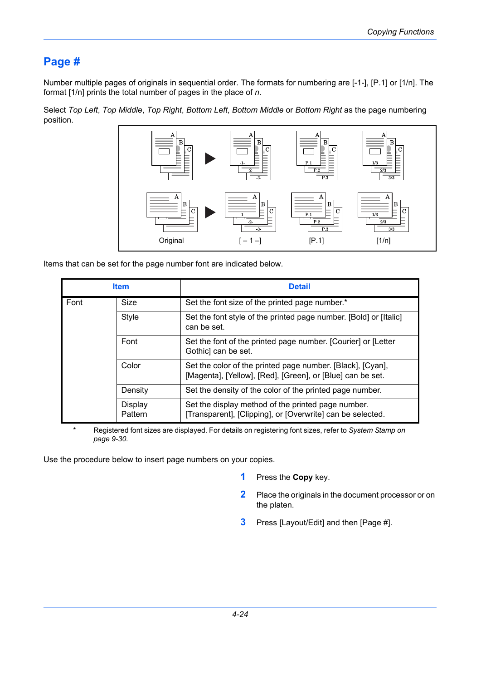## **Page #**

Number multiple pages of originals in sequential order. The formats for numbering are [-1-], [P.1] or [1/n]. The format [1/n] prints the total number of pages in the place of *n*.

Select *Top Left*, *Top Middle*, *Top Right*, *Bottom Left*, *Bottom Middle* or *Bottom Right* as the page numbering position.



Items that can be set for the page number font are indicated below.

| <b>Item</b> |                           | <b>Detail</b>                                                                                                            |  |
|-------------|---------------------------|--------------------------------------------------------------------------------------------------------------------------|--|
| Font        | Size                      | Set the font size of the printed page number.*                                                                           |  |
|             | <b>Style</b>              | Set the font style of the printed page number. [Bold] or [Italic]<br>can be set.                                         |  |
|             | Font                      | Set the font of the printed page number. [Courier] or [Letter<br>Gothic] can be set.                                     |  |
|             | Color                     | Set the color of the printed page number. [Black], [Cyan],<br>[Magenta], [Yellow], [Red], [Green], or [Blue] can be set. |  |
|             | Density                   | Set the density of the color of the printed page number.                                                                 |  |
|             | <b>Display</b><br>Pattern | Set the display method of the printed page number.<br>[Transparent], [Clipping], or [Overwrite] can be selected.         |  |

\* Registered font sizes are displayed. For details on registering font sizes, refer to *[System Stamp on](#page--1-0)  [page 9-30](#page--1-0)*.

Use the procedure below to insert page numbers on your copies.

- **1** Press the **Copy** key.
- **2** Place the originals in the document processor or on the platen.
- **3** Press [Layout/Edit] and then [Page #].